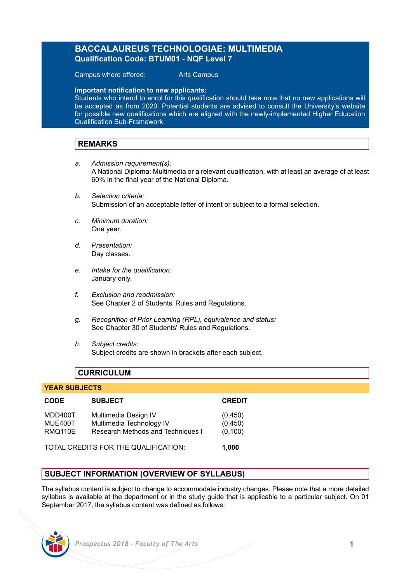# **BACCALAUREUS TECHNOLOGIAE: MULTIMEDIA Qualification Code: BTUM01 - NQF Level 7**

Campus where offered: Arts Campus

**Important notification to new applicants:** 

Students who intend to enrol for this qualification should take note that no new applications will be accepted as from 2020. Potential students are advised to consult the University's website for possible new qualifications which are aligned with the newly-implemented Higher Education Qualification Sub-Framework.

# **REMARKS**

- *a. Admission requirement(s):* A National Diploma: Multimedia or a relevant qualification, with at least an average of at least 60% in the final year of the National Diploma.
- *b. Selection criteria:* Submission of an acceptable letter of intent or subject to a formal selection.
- *c. Minimum duration:* One year.
- *d. Presentation:* Day classes.
- *e. Intake for the qualification:* January only.
- *f. Exclusion and readmission:*  See Chapter 2 of Students' Rules and Regulations.
- *g. Recognition of Prior Learning (RPL), equivalence and status:* See Chapter 30 of Students' Rules and Regulations.
- *h. Subject credits:* Subject credits are shown in brackets after each subject.

# **CURRICULUM**

### **YEAR SUBJECTS**

| <b>CODE</b>                          | <b>SUBJECT</b>                                                                        | <b>CREDIT</b>                  |
|--------------------------------------|---------------------------------------------------------------------------------------|--------------------------------|
| MDD400T<br>MUE400T<br>RMQ110E        | Multimedia Design IV<br>Multimedia Technology IV<br>Research Methods and Techniques I | (0,450)<br>(0,450)<br>(0, 100) |
| TOTAL CREDITS FOR THE QUALIFICATION: |                                                                                       | 1.000                          |

# **SUBJECT INFORMATION (OVERVIEW OF SYLLABUS)**

The syllabus content is subject to change to accommodate industry changes. Please note that a more detailed syllabus is available at the department or in the study guide that is applicable to a particular subject. On 01 September 2017, the syllabus content was defined as follows: